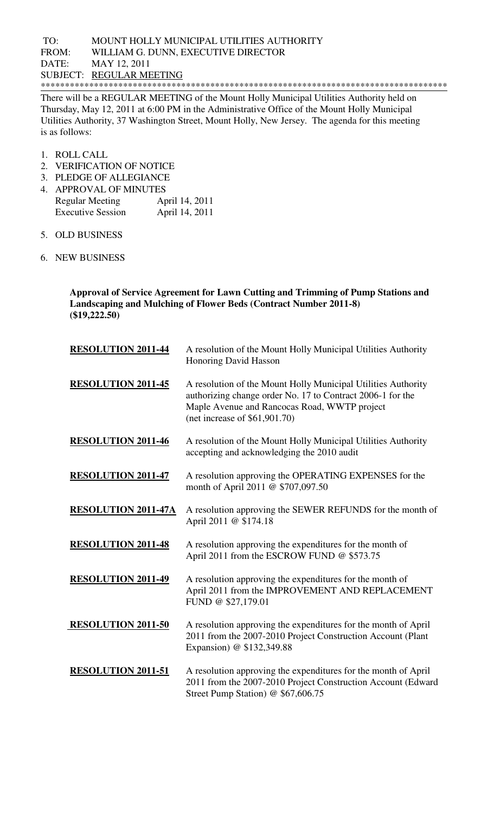## TO: MOUNT HOLLY MUNICIPAL UTILITIES AUTHORITY FROM: WILLIAM G. DUNN, EXECUTIVE DIRECTOR DATE: MAY 12, 2011 SUBJECT: REGULAR MEETING \*\*\*\*\*\*\*\*\*\*\*\*\*\*\*\*\*\*\*\*\*\*\*\*\*\*\*\*\*\*\*\*\*\*\*\*\*\*\*\*\*\*\*\*\*\*\*\*\*\*\*\*\*\*\*\*\*\*\*\*\*\*\*\*\*\*\*\*\*\*\*\*\*\*\*\*\*\*\*\*\*\*\*\*

There will be a REGULAR MEETING of the Mount Holly Municipal Utilities Authority held on Thursday, May 12, 2011 at 6:00 PM in the Administrative Office of the Mount Holly Municipal Utilities Authority, 37 Washington Street, Mount Holly, New Jersey. The agenda for this meeting is as follows:

- 1. ROLL CALL
- 2. VERIFICATION OF NOTICE
- 3. PLEDGE OF ALLEGIANCE
- 4. APPROVAL OF MINUTES Regular Meeting April 14, 2011 Executive Session April 14, 2011
- 5. OLD BUSINESS
- 6. NEW BUSINESS

**Approval of Service Agreement for Lawn Cutting and Trimming of Pump Stations and Landscaping and Mulching of Flower Beds (Contract Number 2011-8) (\$19,222.50)** 

| <b>RESOLUTION 2011-44</b>  | A resolution of the Mount Holly Municipal Utilities Authority<br><b>Honoring David Hasson</b>                                                                                                                  |
|----------------------------|----------------------------------------------------------------------------------------------------------------------------------------------------------------------------------------------------------------|
| <b>RESOLUTION 2011-45</b>  | A resolution of the Mount Holly Municipal Utilities Authority<br>authorizing change order No. 17 to Contract 2006-1 for the<br>Maple Avenue and Rancocas Road, WWTP project<br>(net increase of $$61,901.70$ ) |
| <b>RESOLUTION 2011-46</b>  | A resolution of the Mount Holly Municipal Utilities Authority<br>accepting and acknowledging the 2010 audit                                                                                                    |
| <b>RESOLUTION 2011-47</b>  | A resolution approving the OPERATING EXPENSES for the<br>month of April 2011 @ \$707,097.50                                                                                                                    |
| <b>RESOLUTION 2011-47A</b> | A resolution approving the SEWER REFUNDS for the month of<br>April 2011 @ \$174.18                                                                                                                             |
| <b>RESOLUTION 2011-48</b>  | A resolution approving the expenditures for the month of<br>April 2011 from the ESCROW FUND @ \$573.75                                                                                                         |
| <b>RESOLUTION 2011-49</b>  | A resolution approving the expenditures for the month of<br>April 2011 from the IMPROVEMENT AND REPLACEMENT<br>FUND @ \$27,179.01                                                                              |
| <b>RESOLUTION 2011-50</b>  | A resolution approving the expenditures for the month of April<br>2011 from the 2007-2010 Project Construction Account (Plant<br>Expansion) @ \$132,349.88                                                     |
| <b>RESOLUTION 2011-51</b>  | A resolution approving the expenditures for the month of April<br>2011 from the 2007-2010 Project Construction Account (Edward<br>Street Pump Station) @ \$67,606.75                                           |